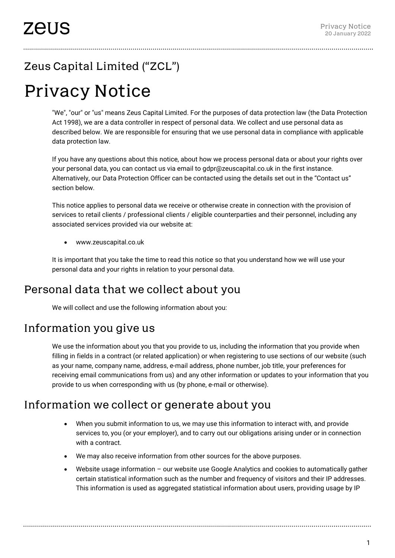# Zeus Capital Limited ("ZCL")

# Privacy Notice

"We", "our" or "us" means Zeus Capital Limited. For the purposes of data protection law (the Data Protection Act 1998), we are a data controller in respect of personal data. We collect and use personal data as described below. We are responsible for ensuring that we use personal data in compliance with applicable data protection law.

If you have any questions about this notice, about how we process personal data or about your rights over your personal data, you can contact us via email to gdpr@zeuscapital.co.uk in the first instance. Alternatively, our Data Protection Officer can be contacted using the details set out in the "Contact us" section below.

This notice applies to personal data we receive or otherwise create in connection with the provision of services to retail clients / professional clients / eligible counterparties and their personnel, including any associated services provided via our website at:

• www.zeuscapital.co.uk

It is important that you take the time to read this notice so that you understand how we will use your personal data and your rights in relation to your personal data.

# Personal data that we collect about you

We will collect and use the following information about you:

# Information you give us

We use the information about you that you provide to us, including the information that you provide when filling in fields in a contract (or related application) or when registering to use sections of our website (such as your name, company name, address, e-mail address, phone number, job title, your preferences for receiving email communications from us) and any other information or updates to your information that you provide to us when corresponding with us (by phone, e-mail or otherwise).

#### Information we collect or generate about you

- When you submit information to us, we may use this information to interact with, and provide services to, you (or your employer), and to carry out our obligations arising under or in connection with a contract.
- We may also receive information from other sources for the above purposes.
- Website usage information our website use Google Analytics and cookies to automatically gather certain statistical information such as the number and frequency of visitors and their IP addresses. This information is used as aggregated statistical information about users, providing usage by IP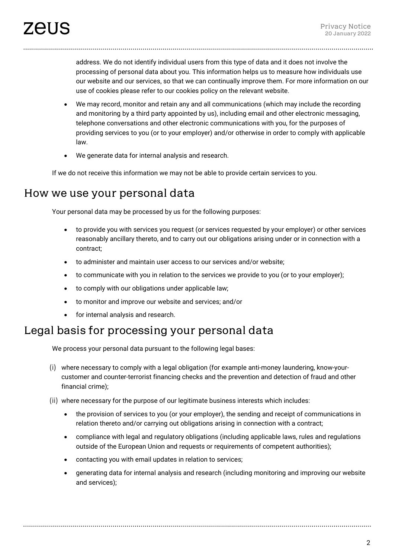address. We do not identify individual users from this type of data and it does not involve the processing of personal data about you. This information helps us to measure how individuals use our website and our services, so that we can continually improve them. For more information on our use of cookies please refer to our cookies policy on the relevant website.

- We may record, monitor and retain any and all communications (which may include the recording and monitoring by a third party appointed by us), including email and other electronic messaging, telephone conversations and other electronic communications with you, for the purposes of providing services to you (or to your employer) and/or otherwise in order to comply with applicable law.
- We generate data for internal analysis and research.

If we do not receive this information we may not be able to provide certain services to you.

#### How we use your personal data

Your personal data may be processed by us for the following purposes:

- to provide you with services you request (or services requested by your employer) or other services reasonably ancillary thereto, and to carry out our obligations arising under or in connection with a contract;
- to administer and maintain user access to our services and/or website;
- to communicate with you in relation to the services we provide to you (or to your employer);
- to comply with our obligations under applicable law;
- to monitor and improve our website and services; and/or
- for internal analysis and research.

#### Legal basis for processing your personal data

We process your personal data pursuant to the following legal bases:

- (i) where necessary to comply with a legal obligation (for example anti-money laundering, know-yourcustomer and counter-terrorist financing checks and the prevention and detection of fraud and other financial crime);
- (ii) where necessary for the purpose of our legitimate business interests which includes:
	- the provision of services to you (or your employer), the sending and receipt of communications in relation thereto and/or carrying out obligations arising in connection with a contract;
	- compliance with legal and regulatory obligations (including applicable laws, rules and regulations outside of the European Union and requests or requirements of competent authorities);
	- contacting you with email updates in relation to services;
	- generating data for internal analysis and research (including monitoring and improving our website and services);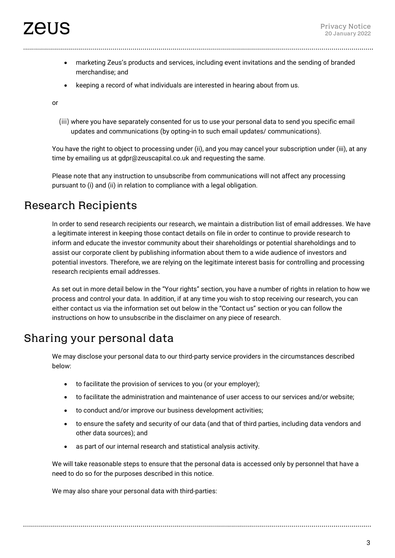- marketing Zeus's products and services, including event invitations and the sending of branded merchandise; and
- keeping a record of what individuals are interested in hearing about from us.

or

(iii) where you have separately consented for us to use your personal data to send you specific email updates and communications (by opting-in to such email updates/ communications).

You have the right to object to processing under (ii), and you may cancel your subscription under (iii), at any time by emailing us at gdpr@zeuscapital.co.uk and requesting the same.

Please note that any instruction to unsubscribe from communications will not affect any processing pursuant to (i) and (ii) in relation to compliance with a legal obligation.

#### Research Recipients

In order to send research recipients our research, we maintain a distribution list of email addresses. We have a legitimate interest in keeping those contact details on file in order to continue to provide research to inform and educate the investor community about their shareholdings or potential shareholdings and to assist our corporate client by publishing information about them to a wide audience of investors and potential investors. Therefore, we are relying on the legitimate interest basis for controlling and processing research recipients email addresses.

As set out in more detail below in the "Your rights" section, you have a number of rights in relation to how we process and control your data. In addition, if at any time you wish to stop receiving our research, you can either contact us via the information set out below in the "Contact us" section or you can follow the instructions on how to unsubscribe in the disclaimer on any piece of research.

#### Sharing your personal data

We may disclose your personal data to our third-party service providers in the circumstances described below:

- to facilitate the provision of services to you (or your employer);
- to facilitate the administration and maintenance of user access to our services and/or website;
- to conduct and/or improve our business development activities;
- to ensure the safety and security of our data (and that of third parties, including data vendors and other data sources); and
- as part of our internal research and statistical analysis activity.

We will take reasonable steps to ensure that the personal data is accessed only by personnel that have a need to do so for the purposes described in this notice.

We may also share your personal data with third-parties: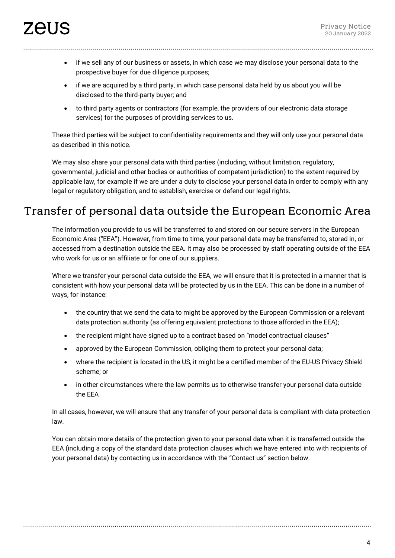- if we sell any of our business or assets, in which case we may disclose your personal data to the prospective buyer for due diligence purposes;
- if we are acquired by a third party, in which case personal data held by us about you will be disclosed to the third-party buyer; and
- to third party agents or contractors (for example, the providers of our electronic data storage services) for the purposes of providing services to us.

These third parties will be subject to confidentiality requirements and they will only use your personal data as described in this notice.

We may also share your personal data with third parties (including, without limitation, regulatory, governmental, judicial and other bodies or authorities of competent jurisdiction) to the extent required by applicable law, for example if we are under a duty to disclose your personal data in order to comply with any legal or regulatory obligation, and to establish, exercise or defend our legal rights.

### Transfer of personal data outside the European Economic Area

The information you provide to us will be transferred to and stored on our secure servers in the European Economic Area ("EEA"). However, from time to time, your personal data may be transferred to, stored in, or accessed from a destination outside the EEA. It may also be processed by staff operating outside of the EEA who work for us or an affiliate or for one of our suppliers.

Where we transfer your personal data outside the EEA, we will ensure that it is protected in a manner that is consistent with how your personal data will be protected by us in the EEA. This can be done in a number of ways, for instance:

- the country that we send the data to might be approved by the European Commission or a relevant data protection authority (as offering equivalent protections to those afforded in the EEA);
- the recipient might have signed up to a contract based on "model contractual clauses"
- approved by the European Commission, obliging them to protect your personal data;
- where the recipient is located in the US, it might be a certified member of the EU-US Privacy Shield scheme; or
- in other circumstances where the law permits us to otherwise transfer your personal data outside the EEA

In all cases, however, we will ensure that any transfer of your personal data is compliant with data protection law.

You can obtain more details of the protection given to your personal data when it is transferred outside the EEA (including a copy of the standard data protection clauses which we have entered into with recipients of your personal data) by contacting us in accordance with the "Contact us" section below.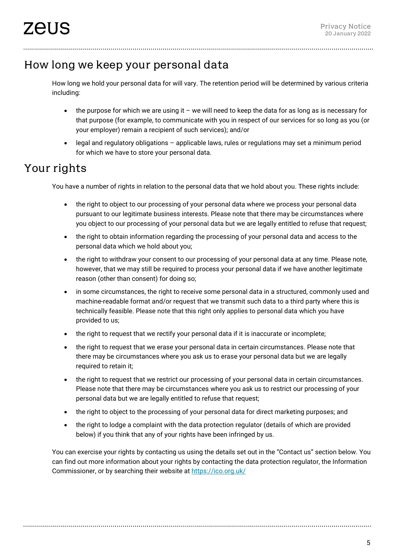# How long we keep your personal data

How long we hold your personal data for will vary. The retention period will be determined by various criteria including:

- the purpose for which we are using it we will need to keep the data for as long as is necessary for that purpose (for example, to communicate with you in respect of our services for so long as you (or your employer) remain a recipient of such services); and/or
- legal and regulatory obligations applicable laws, rules or regulations may set a minimum period for which we have to store your personal data.

# Your rights

You have a number of rights in relation to the personal data that we hold about you. These rights include:

- the right to object to our processing of your personal data where we process your personal data pursuant to our legitimate business interests. Please note that there may be circumstances where you object to our processing of your personal data but we are legally entitled to refuse that request;
- the right to obtain information regarding the processing of your personal data and access to the personal data which we hold about you;
- the right to withdraw your consent to our processing of your personal data at any time. Please note, however, that we may still be required to process your personal data if we have another legitimate reason (other than consent) for doing so;
- in some circumstances, the right to receive some personal data in a structured, commonly used and machine-readable format and/or request that we transmit such data to a third party where this is technically feasible. Please note that this right only applies to personal data which you have provided to us;
- the right to request that we rectify your personal data if it is inaccurate or incomplete;
- the right to request that we erase your personal data in certain circumstances. Please note that there may be circumstances where you ask us to erase your personal data but we are legally required to retain it;
- the right to request that we restrict our processing of your personal data in certain circumstances. Please note that there may be circumstances where you ask us to restrict our processing of your personal data but we are legally entitled to refuse that request;
- the right to object to the processing of your personal data for direct marketing purposes; and
- the right to lodge a complaint with the data protection regulator (details of which are provided below) if you think that any of your rights have been infringed by us.

You can exercise your rights by contacting us using the details set out in the "Contact us" section below. You can find out more information about your rights by contacting the data protection regulator, the Information Commissioner, or by searching their website at<https://ico.org.uk/>